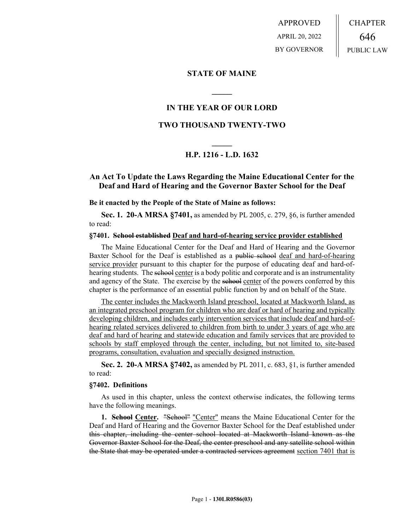APPROVED APRIL 20, 2022 BY GOVERNOR CHAPTER 646 PUBLIC LAW

## **STATE OF MAINE**

# **IN THE YEAR OF OUR LORD**

**\_\_\_\_\_**

# **TWO THOUSAND TWENTY-TWO**

# **\_\_\_\_\_ H.P. 1216 - L.D. 1632**

# **An Act To Update the Laws Regarding the Maine Educational Center for the Deaf and Hard of Hearing and the Governor Baxter School for the Deaf**

**Be it enacted by the People of the State of Maine as follows:**

**Sec. 1. 20-A MRSA §7401,** as amended by PL 2005, c. 279, §6, is further amended to read:

#### **§7401. School established Deaf and hard-of-hearing service provider established**

The Maine Educational Center for the Deaf and Hard of Hearing and the Governor Baxter School for the Deaf is established as a public school deaf and hard-of-hearing service provider pursuant to this chapter for the purpose of educating deaf and hard-ofhearing students. The sehool center is a body politic and corporate and is an instrumentality and agency of the State. The exercise by the sehool center of the powers conferred by this chapter is the performance of an essential public function by and on behalf of the State.

The center includes the Mackworth Island preschool, located at Mackworth Island, as an integrated preschool program for children who are deaf or hard of hearing and typically developing children, and includes early intervention services that include deaf and hard-ofhearing related services delivered to children from birth to under 3 years of age who are deaf and hard of hearing and statewide education and family services that are provided to schools by staff employed through the center, including, but not limited to, site-based programs, consultation, evaluation and specially designed instruction.

**Sec. 2. 20-A MRSA §7402,** as amended by PL 2011, c. 683, §1, is further amended to read:

#### **§7402. Definitions**

As used in this chapter, unless the context otherwise indicates, the following terms have the following meanings.

**1. School Center.** "School" "Center" means the Maine Educational Center for the Deaf and Hard of Hearing and the Governor Baxter School for the Deaf established under this chapter, including the center school located at Mackworth Island known as the Governor Baxter School for the Deaf, the center preschool and any satellite school within the State that may be operated under a contracted services agreement section 7401 that is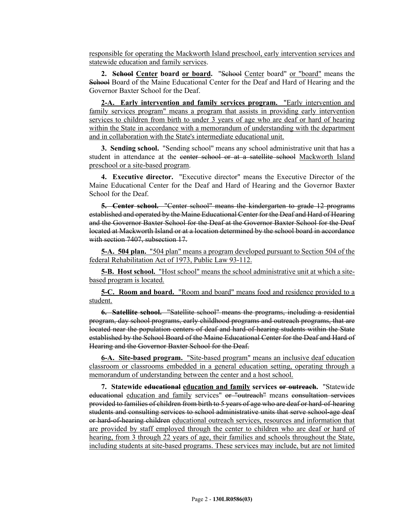responsible for operating the Mackworth Island preschool, early intervention services and statewide education and family services.

2. School Center board or board. "School Center board" or "board" means the School Board of the Maine Educational Center for the Deaf and Hard of Hearing and the Governor Baxter School for the Deaf.

**2-A. Early intervention and family services program.** "Early intervention and family services program" means a program that assists in providing early intervention services to children from birth to under 3 years of age who are deaf or hard of hearing within the State in accordance with a memorandum of understanding with the department and in collaboration with the State's intermediate educational unit.

**3. Sending school.** "Sending school" means any school administrative unit that has a student in attendance at the center school or at a satellite school Mackworth Island preschool or a site-based program.

**4. Executive director.** "Executive director" means the Executive Director of the Maine Educational Center for the Deaf and Hard of Hearing and the Governor Baxter School for the Deaf.

**5. Center school.** "Center school" means the kindergarten to grade 12 programs established and operated by the Maine Educational Center for the Deaf and Hard of Hearing and the Governor Baxter School for the Deaf at the Governor Baxter School for the Deaf located at Mackworth Island or at a location determined by the school board in accordance with section 7407, subsection 17.

**5-A. 504 plan.** "504 plan" means a program developed pursuant to Section 504 of the federal Rehabilitation Act of 1973, Public Law 93-112.

**5-B. Host school.** "Host school" means the school administrative unit at which a sitebased program is located.

**5-C. Room and board.** "Room and board" means food and residence provided to a student.

**6. Satellite school.** "Satellite school" means the programs, including a residential program, day school programs, early childhood programs and outreach programs, that are located near the population centers of deaf and hard-of-hearing students within the State established by the School Board of the Maine Educational Center for the Deaf and Hard of Hearing and the Governor Baxter School for the Deaf.

**6-A. Site-based program.** "Site-based program" means an inclusive deaf education classroom or classrooms embedded in a general education setting, operating through a memorandum of understanding between the center and a host school.

**7. Statewide educational education and family services or outreach.** "Statewide educational education and family services" or "outreach" means consultation services provided to families of children from birth to 5 years of age who are deaf or hard-of-hearing students and consulting services to school administrative units that serve school-age deaf or hard-of-hearing children educational outreach services, resources and information that are provided by staff employed through the center to children who are deaf or hard of hearing, from 3 through 22 years of age, their families and schools throughout the State, including students at site-based programs. These services may include, but are not limited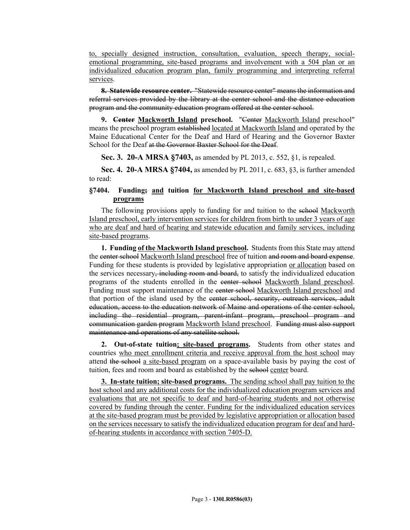to, specially designed instruction, consultation, evaluation, speech therapy, socialemotional programming, site-based programs and involvement with a 504 plan or an individualized education program plan, family programming and interpreting referral services.

**8. Statewide resource center.** "Statewide resource center" means the information and referral services provided by the library at the center school and the distance education program and the community education program offered at the center school.

**9. Center Mackworth Island preschool.** "Center Mackworth Island preschool" means the preschool program established located at Mackworth Island and operated by the Maine Educational Center for the Deaf and Hard of Hearing and the Governor Baxter School for the Deaf at the Governor Baxter School for the Deaf.

**Sec. 3. 20-A MRSA §7403,** as amended by PL 2013, c. 552, §1, is repealed.

**Sec. 4. 20-A MRSA §7404,** as amended by PL 2011, c. 683, §3, is further amended to read:

### **§7404. Funding; and tuition for Mackworth Island preschool and site-based programs**

The following provisions apply to funding for and tuition to the sehool Mackworth Island preschool, early intervention services for children from birth to under 3 years of age who are deaf and hard of hearing and statewide education and family services, including site-based programs.

**1. Funding of the Mackworth Island preschool.** Students from this State may attend the center school Mackworth Island preschool free of tuition and room and board expense. Funding for these students is provided by legislative appropriation or allocation based on the services necessary, including room and board, to satisfy the individualized education programs of the students enrolled in the center school Mackworth Island preschool. Funding must support maintenance of the center school Mackworth Island preschool and that portion of the island used by the center school, security, outreach services, adult education, access to the education network of Maine and operations of the center school, including the residential program, parent-infant program, preschool program and communication garden program Mackworth Island preschool. Funding must also support maintenance and operations of any satellite school.

**2. Out-of-state tuition; site-based programs.** Students from other states and countries who meet enrollment criteria and receive approval from the host school may attend the school a site-based program on a space-available basis by paying the cost of tuition, fees and room and board as established by the school center board.

**3. In-state tuition; site-based programs.** The sending school shall pay tuition to the host school and any additional costs for the individualized education program services and evaluations that are not specific to deaf and hard-of-hearing students and not otherwise covered by funding through the center. Funding for the individualized education services at the site-based program must be provided by legislative appropriation or allocation based on the services necessary to satisfy the individualized education program for deaf and hardof-hearing students in accordance with section 7405-D.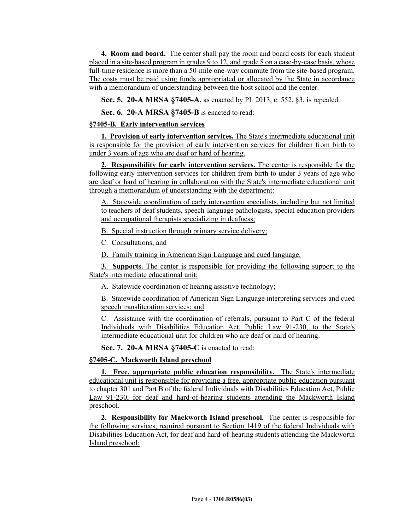**4. Room and board.** The center shall pay the room and board costs for each student placed in a site-based program in grades 9 to 12, and grade 8 on a case-by-case basis, whose full-time residence is more than a 50-mile one-way commute from the site-based program. The costs must be paid using funds appropriated or allocated by the State in accordance with a memorandum of understanding between the host school and the center.

**Sec. 5. 20-A MRSA §7405-A,** as enacted by PL 2013, c. 552, §3, is repealed.

**Sec. 6. 20-A MRSA §7405-B** is enacted to read:

# **§7405-B. Early intervention services**

**1. Provision of early intervention services.** The State's intermediate educational unit is responsible for the provision of early intervention services for children from birth to under 3 years of age who are deaf or hard of hearing.

**2. Responsibility for early intervention services.** The center is responsible for the following early intervention services for children from birth to under 3 years of age who are deaf or hard of hearing in collaboration with the State's intermediate educational unit through a memorandum of understanding with the department:

A. Statewide coordination of early intervention specialists, including but not limited to teachers of deaf students, speech-language pathologists, special education providers and occupational therapists specializing in deafness;

B. Special instruction through primary service delivery;

C. Consultations; and

D. Family training in American Sign Language and cued language.

**3. Supports.** The center is responsible for providing the following support to the State's intermediate educational unit:

A. Statewide coordination of hearing assistive technology;

B. Statewide coordination of American Sign Language interpreting services and cued speech transliteration services; and

C. Assistance with the coordination of referrals, pursuant to Part C of the federal Individuals with Disabilities Education Act, Public Law 91-230, to the State's intermediate educational unit for children who are deaf or hard of hearing.

**Sec. 7. 20-A MRSA §7405-C** is enacted to read:

# **§7405-C. Mackworth Island preschool**

**1. Free, appropriate public education responsibility.** The State's intermediate educational unit is responsible for providing a free, appropriate public education pursuant to chapter 301 and Part B of the federal Individuals with Disabilities Education Act, Public Law 91-230, for deaf and hard-of-hearing students attending the Mackworth Island preschool.

**2. Responsibility for Mackworth Island preschool.** The center is responsible for the following services, required pursuant to Section 1419 of the federal Individuals with Disabilities Education Act, for deaf and hard-of-hearing students attending the Mackworth Island preschool: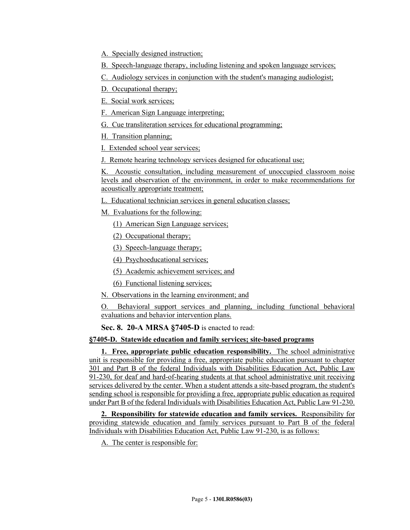A. Specially designed instruction;

B. Speech-language therapy, including listening and spoken language services;

C. Audiology services in conjunction with the student's managing audiologist;

D. Occupational therapy;

E. Social work services;

F. American Sign Language interpreting;

G. Cue transliteration services for educational programming;

H. Transition planning;

I. Extended school year services;

J. Remote hearing technology services designed for educational use;

K. Acoustic consultation, including measurement of unoccupied classroom noise levels and observation of the environment, in order to make recommendations for acoustically appropriate treatment;

L. Educational technician services in general education classes;

M. Evaluations for the following:

(1) American Sign Language services;

(2) Occupational therapy;

(3) Speech-language therapy;

(4) Psychoeducational services;

(5) Academic achievement services; and

(6) Functional listening services;

N. Observations in the learning environment; and

O. Behavioral support services and planning, including functional behavioral evaluations and behavior intervention plans.

**Sec. 8. 20-A MRSA §7405-D** is enacted to read:

### **§7405-D. Statewide education and family services; site-based programs**

**1. Free, appropriate public education responsibility.** The school administrative unit is responsible for providing a free, appropriate public education pursuant to chapter 301 and Part B of the federal Individuals with Disabilities Education Act, Public Law 91-230, for deaf and hard-of-hearing students at that school administrative unit receiving services delivered by the center. When a student attends a site-based program, the student's sending school is responsible for providing a free, appropriate public education as required under Part B of the federal Individuals with Disabilities Education Act, Public Law 91-230.

**2. Responsibility for statewide education and family services.** Responsibility for providing statewide education and family services pursuant to Part B of the federal Individuals with Disabilities Education Act, Public Law 91-230, is as follows:

A. The center is responsible for: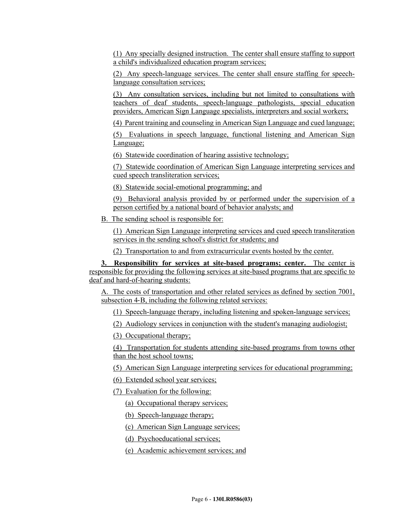(1) Any specially designed instruction. The center shall ensure staffing to support a child's individualized education program services;

(2) Any speech-language services. The center shall ensure staffing for speechlanguage consultation services;

(3) Any consultation services, including but not limited to consultations with teachers of deaf students, speech-language pathologists, special education providers, American Sign Language specialists, interpreters and social workers;

(4) Parent training and counseling in American Sign Language and cued language;

(5) Evaluations in speech language, functional listening and American Sign Language;

(6) Statewide coordination of hearing assistive technology;

(7) Statewide coordination of American Sign Language interpreting services and cued speech transliteration services;

(8) Statewide social-emotional programming; and

(9) Behavioral analysis provided by or performed under the supervision of a person certified by a national board of behavior analysts; and

B. The sending school is responsible for:

(1) American Sign Language interpreting services and cued speech transliteration services in the sending school's district for students; and

(2) Transportation to and from extracurricular events hosted by the center.

**3. Responsibility for services at site-based programs; center.** The center is responsible for providing the following services at site-based programs that are specific to deaf and hard-of-hearing students:

A. The costs of transportation and other related services as defined by section 7001, subsection 4-B, including the following related services:

(1) Speech-language therapy, including listening and spoken-language services;

(2) Audiology services in conjunction with the student's managing audiologist;

(3) Occupational therapy;

(4) Transportation for students attending site-based programs from towns other than the host school towns;

(5) American Sign Language interpreting services for educational programming;

(6) Extended school year services;

(7) Evaluation for the following:

(a) Occupational therapy services;

(b) Speech-language therapy;

(c) American Sign Language services;

(d) Psychoeducational services;

(e) Academic achievement services; and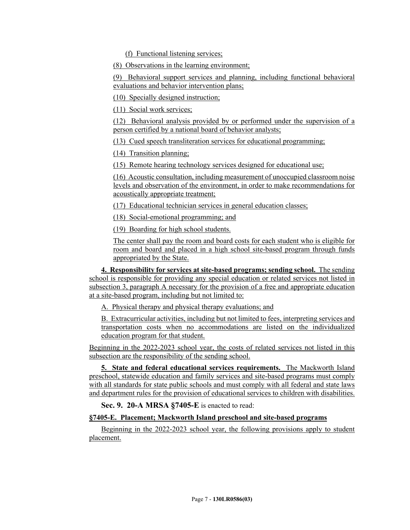(f) Functional listening services;

(8) Observations in the learning environment;

(9) Behavioral support services and planning, including functional behavioral evaluations and behavior intervention plans;

(10) Specially designed instruction;

(11) Social work services;

(12) Behavioral analysis provided by or performed under the supervision of a person certified by a national board of behavior analysts;

(13) Cued speech transliteration services for educational programming;

(14) Transition planning;

(15) Remote hearing technology services designed for educational use;

(16) Acoustic consultation, including measurement of unoccupied classroom noise levels and observation of the environment, in order to make recommendations for acoustically appropriate treatment;

(17) Educational technician services in general education classes;

(18) Social-emotional programming; and

(19) Boarding for high school students.

The center shall pay the room and board costs for each student who is eligible for room and board and placed in a high school site-based program through funds appropriated by the State.

**4. Responsibility for services at site-based programs; sending school.** The sending school is responsible for providing any special education or related services not listed in subsection 3, paragraph A necessary for the provision of a free and appropriate education at a site-based program, including but not limited to:

A. Physical therapy and physical therapy evaluations; and

B. Extracurricular activities, including but not limited to fees, interpreting services and transportation costs when no accommodations are listed on the individualized education program for that student.

Beginning in the 2022-2023 school year, the costs of related services not listed in this subsection are the responsibility of the sending school.

**5. State and federal educational services requirements.** The Mackworth Island preschool, statewide education and family services and site-based programs must comply with all standards for state public schools and must comply with all federal and state laws and department rules for the provision of educational services to children with disabilities.

**Sec. 9. 20-A MRSA §7405-E** is enacted to read:

### **§7405-E. Placement; Mackworth Island preschool and site-based programs**

Beginning in the 2022-2023 school year, the following provisions apply to student placement.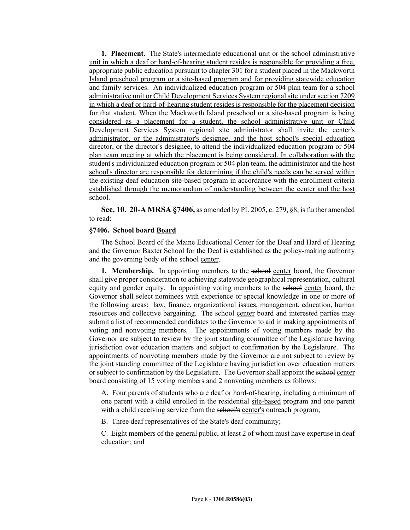**1. Placement.** The State's intermediate educational unit or the school administrative unit in which a deaf or hard-of-hearing student resides is responsible for providing a free, appropriate public education pursuant to chapter 301 for a student placed in the Mackworth Island preschool program or a site-based program and for providing statewide education and family services. An individualized education program or 504 plan team for a school administrative unit or Child Development Services System regional site under section 7209 in which a deaf or hard-of-hearing student resides is responsible for the placement decision for that student. When the Mackworth Island preschool or a site-based program is being considered as a placement for a student, the school administrative unit or Child Development Services System regional site administrator shall invite the center's administrator, or the administrator's designee, and the host school's special education director, or the director's designee, to attend the individualized education program or 504 plan team meeting at which the placement is being considered. In collaboration with the student's individualized education program or 504 plan team, the administrator and the host school's director are responsible for determining if the child's needs can be served within the existing deaf education site-based program in accordance with the enrollment criteria established through the memorandum of understanding between the center and the host school.

**Sec. 10. 20-A MRSA §7406,** as amended by PL 2005, c. 279, §8, is further amended to read:

#### **§7406. School board Board**

The School Board of the Maine Educational Center for the Deaf and Hard of Hearing and the Governor Baxter School for the Deaf is established as the policy-making authority and the governing body of the school center.

**1. Membership.** In appointing members to the school center board, the Governor shall give proper consideration to achieving statewide geographical representation, cultural equity and gender equity. In appointing voting members to the sehool center board, the Governor shall select nominees with experience or special knowledge in one or more of the following areas: law, finance, organizational issues, management, education, human resources and collective bargaining. The sehool center board and interested parties may submit a list of recommended candidates to the Governor to aid in making appointments of voting and nonvoting members. The appointments of voting members made by the Governor are subject to review by the joint standing committee of the Legislature having jurisdiction over education matters and subject to confirmation by the Legislature. The appointments of nonvoting members made by the Governor are not subject to review by the joint standing committee of the Legislature having jurisdiction over education matters or subject to confirmation by the Legislature. The Governor shall appoint the school center board consisting of 15 voting members and 2 nonvoting members as follows:

A. Four parents of students who are deaf or hard-of-hearing, including a minimum of one parent with a child enrolled in the residential site-based program and one parent with a child receiving service from the school's center's outreach program;

B. Three deaf representatives of the State's deaf community;

C. Eight members of the general public, at least 2 of whom must have expertise in deaf education; and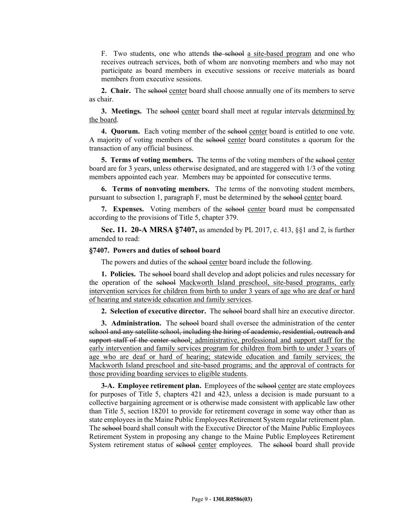F. Two students, one who attends the school a site-based program and one who receives outreach services, both of whom are nonvoting members and who may not participate as board members in executive sessions or receive materials as board members from executive sessions.

**2. Chair.** The school center board shall choose annually one of its members to serve as chair.

**3. Meetings.** The school center board shall meet at regular intervals determined by the board.

**4. Quorum.** Each voting member of the school center board is entitled to one vote. A majority of voting members of the school center board constitutes a quorum for the transaction of any official business.

**5. Terms of voting members.** The terms of the voting members of the school center board are for 3 years, unless otherwise designated, and are staggered with 1/3 of the voting members appointed each year. Members may be appointed for consecutive terms.

**6. Terms of nonvoting members.** The terms of the nonvoting student members, pursuant to subsection 1, paragraph F, must be determined by the school center board.

**7. Expenses.** Voting members of the school center board must be compensated according to the provisions of Title 5, chapter 379.

**Sec. 11. 20-A MRSA §7407,** as amended by PL 2017, c. 413, §§1 and 2, is further amended to read:

#### **§7407. Powers and duties of school board**

The powers and duties of the school center board include the following.

**1. Policies.** The school board shall develop and adopt policies and rules necessary for the operation of the school Mackworth Island preschool, site-based programs, early intervention services for children from birth to under 3 years of age who are deaf or hard of hearing and statewide education and family services.

**2. Selection of executive director.** The selood board shall hire an executive director.

**3. Administration.** The sehool board shall oversee the administration of the center school and any satellite school, including the hiring of academic, residential, outreach and support staff of the center school; administrative, professional and support staff for the early intervention and family services program for children from birth to under 3 years of age who are deaf or hard of hearing; statewide education and family services; the Mackworth Island preschool and site-based programs; and the approval of contracts for those providing boarding services to eligible students.

**3-A. Employee retirement plan.** Employees of the school center are state employees for purposes of Title 5, chapters 421 and 423, unless a decision is made pursuant to a collective bargaining agreement or is otherwise made consistent with applicable law other than Title 5, section 18201 to provide for retirement coverage in some way other than as state employees in the Maine Public Employees Retirement System regular retirement plan. The school board shall consult with the Executive Director of the Maine Public Employees Retirement System in proposing any change to the Maine Public Employees Retirement System retirement status of school center employees. The school board shall provide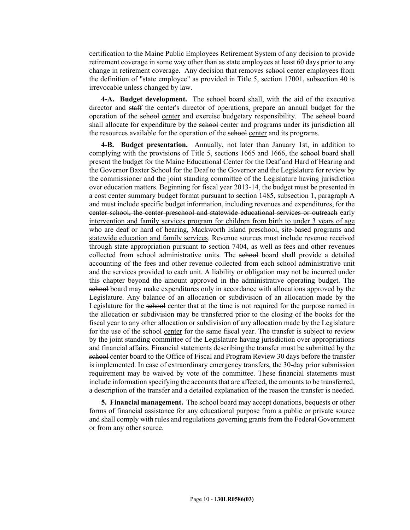certification to the Maine Public Employees Retirement System of any decision to provide retirement coverage in some way other than as state employees at least 60 days prior to any change in retirement coverage. Any decision that removes sehool center employees from the definition of "state employee" as provided in Title 5, section 17001, subsection 40 is irrevocable unless changed by law.

4-A. Budget development. The school board shall, with the aid of the executive director and staff the center's director of operations, prepare an annual budget for the operation of the school center and exercise budgetary responsibility. The school board shall allocate for expenditure by the school center and programs under its jurisdiction all the resources available for the operation of the school center and its programs.

**4-B. Budget presentation.** Annually, not later than January 1st, in addition to complying with the provisions of Title 5, sections 1665 and 1666, the sehool board shall present the budget for the Maine Educational Center for the Deaf and Hard of Hearing and the Governor Baxter School for the Deaf to the Governor and the Legislature for review by the commissioner and the joint standing committee of the Legislature having jurisdiction over education matters. Beginning for fiscal year 2013-14, the budget must be presented in a cost center summary budget format pursuant to section 1485, subsection 1, paragraph A and must include specific budget information, including revenues and expenditures, for the center school, the center preschool and statewide educational services or outreach early intervention and family services program for children from birth to under 3 years of age who are deaf or hard of hearing, Mackworth Island preschool, site-based programs and statewide education and family services. Revenue sources must include revenue received through state appropriation pursuant to section 7404, as well as fees and other revenues collected from school administrative units. The school board shall provide a detailed accounting of the fees and other revenue collected from each school administrative unit and the services provided to each unit. A liability or obligation may not be incurred under this chapter beyond the amount approved in the administrative operating budget. The school board may make expenditures only in accordance with allocations approved by the Legislature. Any balance of an allocation or subdivision of an allocation made by the Legislature for the school center that at the time is not required for the purpose named in the allocation or subdivision may be transferred prior to the closing of the books for the fiscal year to any other allocation or subdivision of any allocation made by the Legislature for the use of the school center for the same fiscal year. The transfer is subject to review by the joint standing committee of the Legislature having jurisdiction over appropriations and financial affairs. Financial statements describing the transfer must be submitted by the school center board to the Office of Fiscal and Program Review 30 days before the transfer is implemented. In case of extraordinary emergency transfers, the 30-day prior submission requirement may be waived by vote of the committee. These financial statements must include information specifying the accounts that are affected, the amounts to be transferred, a description of the transfer and a detailed explanation of the reason the transfer is needed.

**5. Financial management.** The school board may accept donations, bequests or other forms of financial assistance for any educational purpose from a public or private source and shall comply with rules and regulations governing grants from the Federal Government or from any other source.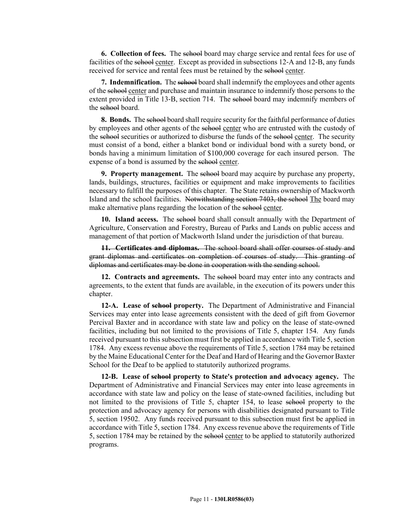**6. Collection of fees.** The school board may charge service and rental fees for use of facilities of the sehool center. Except as provided in subsections 12–A and 12–B, any funds received for service and rental fees must be retained by the school center.

**7. Indemnification.** The school board shall indemnify the employees and other agents of the school center and purchase and maintain insurance to indemnify those persons to the extent provided in Title 13-B, section 714. The school board may indemnify members of the school board.

**8. Bonds.** The sehool board shall require security for the faithful performance of duties by employees and other agents of the sehool center who are entrusted with the custody of the school securities or authorized to disburse the funds of the school center. The security must consist of a bond, either a blanket bond or individual bond with a surety bond, or bonds having a minimum limitation of \$100,000 coverage for each insured person. The expense of a bond is assumed by the school center.

**9. Property management.** The sehool board may acquire by purchase any property, lands, buildings, structures, facilities or equipment and make improvements to facilities necessary to fulfill the purposes of this chapter. The State retains ownership of Mackworth Island and the school facilities. Notwithstanding section 7403, the school The board may make alternative plans regarding the location of the school center.

**10. Island access.** The sehool board shall consult annually with the Department of Agriculture, Conservation and Forestry, Bureau of Parks and Lands on public access and management of that portion of Mackworth Island under the jurisdiction of that bureau.

**11. Certificates and diplomas.** The school board shall offer courses of study and grant diplomas and certificates on completion of courses of study. This granting of diplomas and certificates may be done in cooperation with the sending school.

**12. Contracts and agreements.** The sehool board may enter into any contracts and agreements, to the extent that funds are available, in the execution of its powers under this chapter.

**12-A. Lease of school property.** The Department of Administrative and Financial Services may enter into lease agreements consistent with the deed of gift from Governor Percival Baxter and in accordance with state law and policy on the lease of state-owned facilities, including but not limited to the provisions of Title 5, chapter 154. Any funds received pursuant to this subsection must first be applied in accordance with Title 5, section 1784. Any excess revenue above the requirements of Title 5, section 1784 may be retained by the Maine Educational Center for the Deaf and Hard of Hearing and the Governor Baxter School for the Deaf to be applied to statutorily authorized programs.

**12-B. Lease of school property to State's protection and advocacy agency.** The Department of Administrative and Financial Services may enter into lease agreements in accordance with state law and policy on the lease of state-owned facilities, including but not limited to the provisions of Title 5, chapter 154, to lease school property to the protection and advocacy agency for persons with disabilities designated pursuant to Title 5, section 19502. Any funds received pursuant to this subsection must first be applied in accordance with Title 5, section 1784. Any excess revenue above the requirements of Title 5, section 1784 may be retained by the school center to be applied to statutorily authorized programs.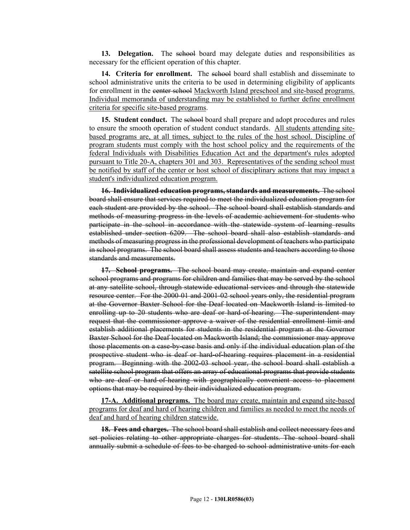**13. Delegation.** The school board may delegate duties and responsibilities as necessary for the efficient operation of this chapter.

**14. Criteria for enrollment.** The school board shall establish and disseminate to school administrative units the criteria to be used in determining eligibility of applicants for enrollment in the center school Mackworth Island preschool and site-based programs. Individual memoranda of understanding may be established to further define enrollment criteria for specific site-based programs.

**15. Student conduct.** The school board shall prepare and adopt procedures and rules to ensure the smooth operation of student conduct standards. All students attending sitebased programs are, at all times, subject to the rules of the host school. Discipline of program students must comply with the host school policy and the requirements of the federal Individuals with Disabilities Education Act and the department's rules adopted pursuant to Title 20-A, chapters 301 and 303. Representatives of the sending school must be notified by staff of the center or host school of disciplinary actions that may impact a student's individualized education program.

**16. Individualized education programs, standards and measurements.** The school board shall ensure that services required to meet the individualized education program for each student are provided by the school. The school board shall establish standards and methods of measuring progress in the levels of academic achievement for students who participate in the school in accordance with the statewide system of learning results established under section 6209. The school board shall also establish standards and methods of measuring progress in the professional development of teachers who participate in school programs. The school board shall assess students and teachers according to those standards and measurements.

**17. School programs.** The school board may create, maintain and expand center school programs and programs for children and families that may be served by the school at any satellite school, through statewide educational services and through the statewide resource center. For the 2000-01 and 2001-02 school years only, the residential program at the Governor Baxter School for the Deaf located on Mackworth Island is limited to enrolling up to 20 students who are deaf or hard-of-hearing. The superintendent may request that the commissioner approve a waiver of the residential enrollment limit and establish additional placements for students in the residential program at the Governor Baxter School for the Deaf located on Mackworth Island; the commissioner may approve those placements on a case-by-case basis and only if the individual education plan of the prospective student who is deaf or hard-of-hearing requires placement in a residential program. Beginning with the 2002-03 school year, the school board shall establish a satellite school program that offers an array of educational programs that provide students who are deaf or hard-of-hearing with geographically convenient access to placement options that may be required by their individualized education program.

**17-A. Additional programs.** The board may create, maintain and expand site-based programs for deaf and hard of hearing children and families as needed to meet the needs of deaf and hard of hearing children statewide.

**18. Fees and charges.** The school board shall establish and collect necessary fees and set policies relating to other appropriate charges for students. The school board shall annually submit a schedule of fees to be charged to school administrative units for each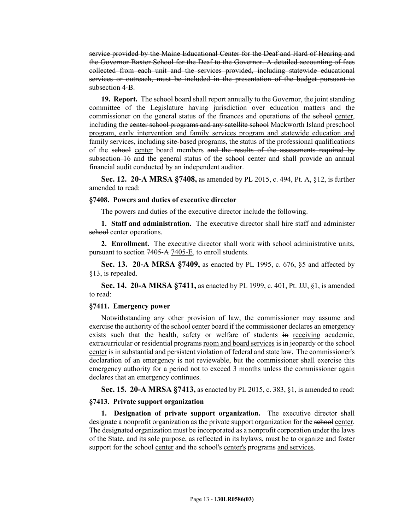service provided by the Maine Educational Center for the Deaf and Hard of Hearing and the Governor Baxter School for the Deaf to the Governor. A detailed accounting of fees collected from each unit and the services provided, including statewide educational services or outreach, must be included in the presentation of the budget pursuant to subsection 4-B.

**19. Report.** The school board shall report annually to the Governor, the joint standing committee of the Legislature having jurisdiction over education matters and the commissioner on the general status of the finances and operations of the sehool center, including the center school programs and any satellite school Mackworth Island preschool program, early intervention and family services program and statewide education and family services, including site-based programs, the status of the professional qualifications of the school center board members and the results of the assessments required by subsection 16 and the general status of the school center and shall provide an annual financial audit conducted by an independent auditor.

**Sec. 12. 20-A MRSA §7408,** as amended by PL 2015, c. 494, Pt. A, §12, is further amended to read:

#### **§7408. Powers and duties of executive director**

The powers and duties of the executive director include the following.

**1. Staff and administration.** The executive director shall hire staff and administer school center operations.

**2. Enrollment.** The executive director shall work with school administrative units, pursuant to section 7405‑A 7405-E, to enroll students.

**Sec. 13. 20-A MRSA §7409,** as enacted by PL 1995, c. 676, §5 and affected by §13, is repealed.

**Sec. 14. 20-A MRSA §7411,** as enacted by PL 1999, c. 401, Pt. JJJ, §1, is amended to read:

#### **§7411. Emergency power**

Notwithstanding any other provision of law, the commissioner may assume and exercise the authority of the school center board if the commissioner declares an emergency exists such that the health, safety or welfare of students in receiving academic, extracurricular or residential programs room and board services is in jeopardy or the school center is in substantial and persistent violation of federal and state law. The commissioner's declaration of an emergency is not reviewable, but the commissioner shall exercise this emergency authority for a period not to exceed 3 months unless the commissioner again declares that an emergency continues.

**Sec. 15. 20-A MRSA §7413,** as enacted by PL 2015, c. 383, §1, is amended to read:

### **§7413. Private support organization**

**1. Designation of private support organization.** The executive director shall designate a nonprofit organization as the private support organization for the school center. The designated organization must be incorporated as a nonprofit corporation under the laws of the State, and its sole purpose, as reflected in its bylaws, must be to organize and foster support for the school center and the school's center's programs and services.